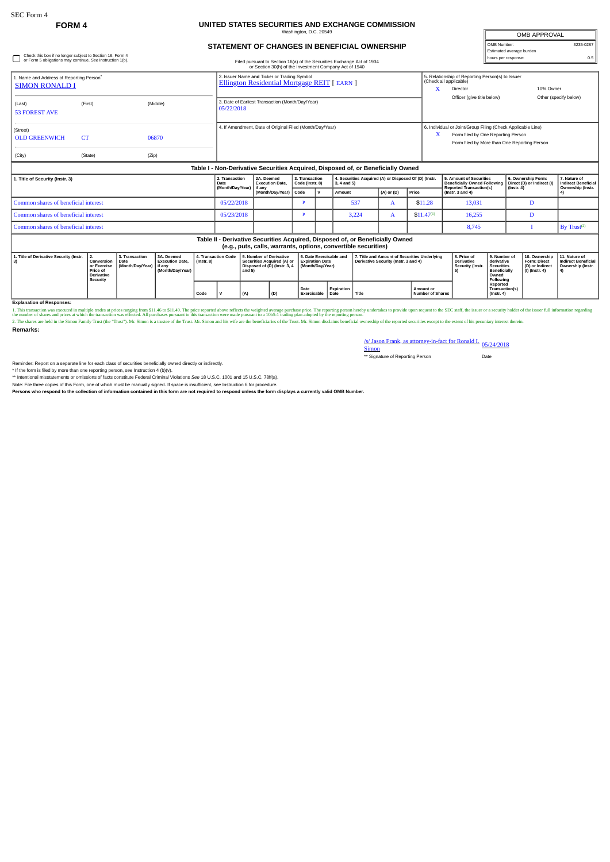## **FORM 4 UNITED STATES SECURITIES AND EXCHANGE COMMISSION**

| Washington, D.C. 20549                       |
|----------------------------------------------|
|                                              |
| STATEMENT OF CHANGES IN BENEFICIAL OWNERSHIP |

| OMB APPROVAL             |           |
|--------------------------|-----------|
| OMB Number:              | 3235-0287 |
| Estimated average burden |           |
| hours per response:      | ∩ҕ        |

| Check this box if no longer subject to Section 16. Form 4<br>or Form 5 obligations may continue. See Instruction 1(b). | Filed pursuant to Section 16(a) of the Securities Exchange Act of 1934<br>or Section 30(h) of the Investment Company Act of 1940 | 0.5<br>hours per response:                                                             |                                                                                    |                       |  |  |  |  |  |
|------------------------------------------------------------------------------------------------------------------------|----------------------------------------------------------------------------------------------------------------------------------|----------------------------------------------------------------------------------------|------------------------------------------------------------------------------------|-----------------------|--|--|--|--|--|
| 1. Name and Address of Reporting Person <sup>*</sup><br><b>SIMON RONALD I</b>                                          | 2. Issuer Name and Ticker or Trading Symbol<br><b>Ellington Residential Mortgage REIT</b> [ EARN ]                               | 5. Relationship of Reporting Person(s) to Issuer<br>(Check all applicable)<br>Director |                                                                                    | 10% Owner             |  |  |  |  |  |
| (First)<br>(Middle)<br>(Last)<br><b>53 FOREST AVE</b>                                                                  | 3. Date of Earliest Transaction (Month/Day/Year)<br>05/22/2018                                                                   | Officer (give title below)                                                             |                                                                                    | Other (specify below) |  |  |  |  |  |
| (Street)<br><b>CT</b><br>06870<br><b>OLD GREENWICH</b>                                                                 | 4. If Amendment, Date of Original Filed (Month/Day/Year)                                                                         | 6. Individual or Joint/Group Filing (Check Applicable Line)                            | Form filed by One Reporting Person<br>Form filed by More than One Reporting Person |                       |  |  |  |  |  |
| (State)<br>(Zip)<br>(City)                                                                                             |                                                                                                                                  |                                                                                        |                                                                                    |                       |  |  |  |  |  |
| Table I - Non-Derivative Securities Acquired, Disposed of, or Beneficially Owned                                       |                                                                                                                                  |                                                                                        |                                                                                    |                       |  |  |  |  |  |

| 1. Title of Security (Instr. 3)                                                                                                                 | 2. Transaction<br>Date | 2A. Deemed<br><b>Execution Date.</b><br>(Month/Day/Year)   if any<br>(Month/Dav/Year)   Code | 3. Transaction<br>Code (Instr. 8) |  | 4. Securities Acquired (A) or Disposed Of (D) (Instr.<br>3.4 and 5) |                |                | 5. Amount of Securities<br>Beneficially Owned Following   Direct (D) or Indirect (I)<br><b>Reported Transaction(s)</b> | 6. Ownership Form: | 7. Nature of<br>Indirect Beneficial<br>Ownership (Instr. |  |  |  |
|-------------------------------------------------------------------------------------------------------------------------------------------------|------------------------|----------------------------------------------------------------------------------------------|-----------------------------------|--|---------------------------------------------------------------------|----------------|----------------|------------------------------------------------------------------------------------------------------------------------|--------------------|----------------------------------------------------------|--|--|--|
|                                                                                                                                                 |                        |                                                                                              |                                   |  | Amount                                                              | $(A)$ or $(D)$ | Price          | $($ lnstr. 3 and 4 $)$                                                                                                 | $($ lnstr. 4 $)$   |                                                          |  |  |  |
| Common shares of beneficial interest                                                                                                            | 05/22/2018             |                                                                                              |                                   |  | 537                                                                 |                | \$11.28        | 13.031                                                                                                                 |                    |                                                          |  |  |  |
| Common shares of beneficial interest                                                                                                            | 05/23/2018             |                                                                                              |                                   |  | 3.224                                                               |                | $$11.47^{(1)}$ | 16.255                                                                                                                 |                    |                                                          |  |  |  |
| Common shares of beneficial interest                                                                                                            |                        |                                                                                              |                                   |  |                                                                     |                |                | 8,745                                                                                                                  |                    | $Bv$ Trust <sup>(2)</sup>                                |  |  |  |
| Table II - Derivative Securities Acquired, Disposed of, or Beneficially Owned<br>(e.g., puts, calls, warrants, options, convertible securities) |                        |                                                                                              |                                   |  |                                                                     |                |                |                                                                                                                        |                    |                                                          |  |  |  |

| 1. Title of Derivative Security (Instr.   2. | <b>Price of</b><br><b>Derivative</b><br>Security | 3A. Deemed<br><b>3. Transaction</b><br><b>Execution Date.</b><br>Conversion   Date<br>or Exercise   (Month/Day/Year)   if any<br>(Month/Dav/Year) |  | 4. Transaction Code   5. Number of Derivative<br>(Instr. 8) |  | Securities Acquired (A) or   Expiration Date<br>Disposed of (D) (Instr. 3. 4<br>and 5 |         | (Month/Dav/Year)    |                    | 16. Date Exercisable and 17. Title and Amount of Securities Underlying<br>Derivative Security (Instr. 3 and 4) |                               | l 8. Price of<br><b>Derivative</b><br>Security (Instr. | l 9. Number o<br>l derivative<br>Securities<br><b>Beneficially</b><br>Owned<br>Following | 10. Ownership   11. Nature of<br>Form: Direct<br>D) or Indirect<br>  (I) (Instr. 4) | <b>Indirect Beneficial</b><br>Ownership (Instr. |
|----------------------------------------------|--------------------------------------------------|---------------------------------------------------------------------------------------------------------------------------------------------------|--|-------------------------------------------------------------|--|---------------------------------------------------------------------------------------|---------|---------------------|--------------------|----------------------------------------------------------------------------------------------------------------|-------------------------------|--------------------------------------------------------|------------------------------------------------------------------------------------------|-------------------------------------------------------------------------------------|-------------------------------------------------|
|                                              |                                                  |                                                                                                                                                   |  | Code                                                        |  | <sup>1</sup> (A)                                                                      | $ $ (D) | Date<br>Exercisable | Expiration<br>Date | <b>Title</b>                                                                                                   | Amount or<br>Number of Shares |                                                        | Reported<br>Transaction(s)<br>(Instr. 4)                                                 |                                                                                     |                                                 |

**Explanation of Responses:**

1. This transaction was executed in multiple trades at prices ranging from \$11.46 to \$11.49. The price reported above reflects the weighted average purchase price. The reporting person hereby undertakes to provide upon req

**Remarks:**

/s/ Jason Frank, as attorney-in-fact for Ronald I. 05/24/2018<br>Simon Simon<br>\*\* Signature of Reporting Person Date

Reminder: Report on a separate line for each class of securities beneficially owned directly or indirectly.

\* If the form is filed by more than one reporting person, see Instruction 4 (b)(v).<br>\*\* Intentional misstatements or omissions of facts constitute Federal Criminal Violations See 18 U.S.C. 1001 and 15 U.S.C. 78ff(a).

Note: File three copies of this Form, one of which must be manually signed. If space is insufficient, see Instruction 6 for procedure.<br>Persons who respond to the collection of information contained in this form are not req